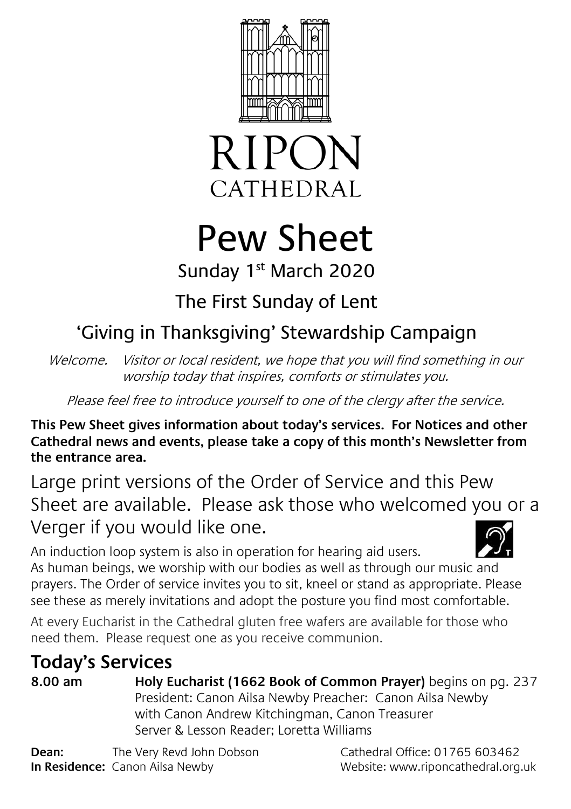



# Pew Sheet

## Sunday 1<sup>st</sup> March 2020

## The First Sunday of Lent

# 'Giving in Thanksgiving' Stewardship Campaign

Welcome. Visitor or local resident, we hope that you will find something in our worship today that inspires, comforts or stimulates you.

Please feel free to introduce yourself to one of the clergy after the service.

**This Pew Sheet gives information about today's services. For Notices and other Cathedral news and events, please take a copy of this month's Newsletter from the entrance area.** 

Large print versions of the Order of Service and this Pew Sheet are available. Please ask those who welcomed you or a Verger if you would like one.

An induction loop system is also in operation for hearing aid users. As human beings, we worship with our bodies as well as through our music and prayers. The Order of service invites you to sit, kneel or stand as appropriate. Please see these as merely invitations and adopt the posture you find most comfortable.

At every Eucharist in the Cathedral gluten free wafers are available for those who need them. Please request one as you receive communion.

## **Today's Services**

**8.00 am Holy Eucharist (1662 Book of Common Prayer)** begins on pg. 237 President: Canon Ailsa Newby Preacher: Canon Ailsa Newby with Canon Andrew Kitchingman, Canon Treasurer Server & Lesson Reader; Loretta Williams

**Dean:** The Very Revd John Dobson Cathedral Office: 01765 603462 **In Residence:** Canon Ailsa Newby Website: www.riponcathedral.org.uk

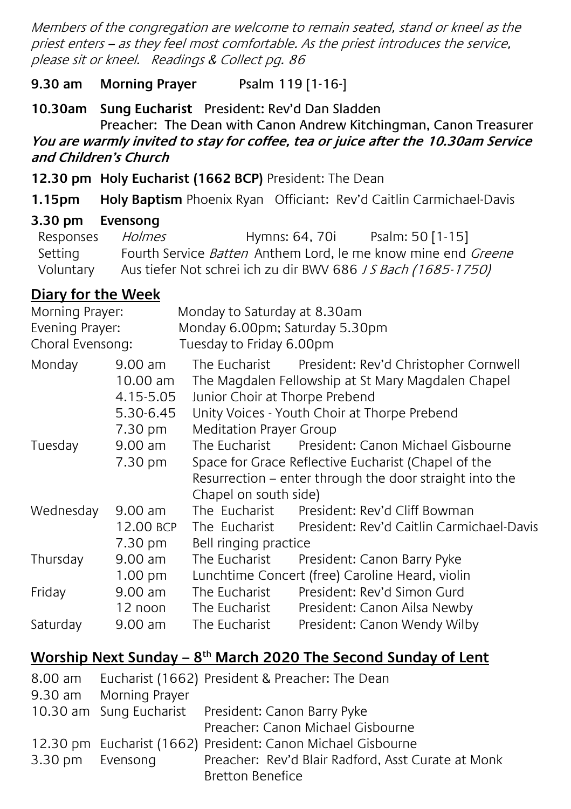Members of the congregation are welcome to remain seated, stand or kneel as the priest enters – as they feel most comfortable. As the priest introduces the service, please sit or kneel. Readings & Collect pg. 86

#### **9.30 am Morning Prayer** Psalm 119 [1-16-]

**10.30am Sung Eucharist** President: Rev'd Dan Sladden Preacher: The Dean with Canon Andrew Kitchingman, Canon Treasurer

#### **You are warmly invited to stay for coffee, tea or juice after the 10.30am Service and Children's Church**

**12.30 pm Holy Eucharist (1662 BCP)** President: The Dean

**1.15pm Holy Baptism** Phoenix Ryan Officiant: Rev'd Caitlin Carmichael-Davis

#### **3.30 pm Evensong**

| Responses | Holmes | Hymns: 64, 70i | Psalm: 50 [1-15]                                                            |
|-----------|--------|----------------|-----------------------------------------------------------------------------|
| Setting   |        |                | Fourth Service <i>Batten</i> Anthem Lord, le me know mine end <i>Greene</i> |
| Voluntary |        |                | Aus tiefer Not schrei ich zu dir BWV 686 J S Bach (1685-1750)               |

### **Diary for the Week**

| Morning Prayer:  |                                                   | Monday to Saturday at 8.30am                            |                                                                                                                                                           |  |  |
|------------------|---------------------------------------------------|---------------------------------------------------------|-----------------------------------------------------------------------------------------------------------------------------------------------------------|--|--|
| Evening Prayer:  |                                                   | Monday 6.00pm; Saturday 5.30pm                          |                                                                                                                                                           |  |  |
| Choral Evensong: |                                                   | Tuesday to Friday 6.00pm                                |                                                                                                                                                           |  |  |
| Monday           | $9.00$ am<br>$10.00$ am<br>4.15-5.05<br>5.30-6.45 | Junior Choir at Thorpe Prebend                          | The Eucharist President: Rev'd Christopher Cornwell<br>The Magdalen Fellowship at St Mary Magdalen Chapel<br>Unity Voices - Youth Choir at Thorpe Prebend |  |  |
|                  | 7.30 pm                                           | Meditation Prayer Group                                 |                                                                                                                                                           |  |  |
| Tuesday          | 9.00 am<br>7.30 pm                                | The Eucharist<br>Chapel on south side)                  | President: Canon Michael Gisbourne<br>Space for Grace Reflective Eucharist (Chapel of the<br>Resurrection – enter through the door straight into the      |  |  |
| Wednesday        | $9.00$ am<br>12.00 BCP<br>7.30 pm                 | The Eucharist<br>The Eucharist<br>Bell ringing practice | President: Rev'd Cliff Bowman<br>President: Rev'd Caitlin Carmichael-Davis                                                                                |  |  |
| Thursday         | 9.00 am<br>$1.00 \text{ pm}$                      | The Eucharist                                           | President: Canon Barry Pyke<br>Lunchtime Concert (free) Caroline Heard, violin                                                                            |  |  |
| Friday           | 9.00 am<br>12 noon                                | The Eucharist<br>The Eucharist                          | President: Rev'd Simon Gurd<br>President: Canon Ailsa Newby                                                                                               |  |  |
| Saturday         | $9.00$ am                                         | The Eucharist                                           | President: Canon Wendy Wilby                                                                                                                              |  |  |

## **Worship Next Sunday – 8 th March 2020 The Second Sunday of Lent**

| 8.00 am          |                        | Eucharist (1662) President & Preacher: The Dean              |
|------------------|------------------------|--------------------------------------------------------------|
|                  | 9.30 am Morning Prayer |                                                              |
|                  |                        | 10.30 am Sung Eucharist President: Canon Barry Pyke          |
|                  |                        | Preacher: Canon Michael Gisbourne                            |
|                  |                        | 12.30 pm Eucharist (1662) President: Canon Michael Gisbourne |
| 3.30 pm Evensong |                        | Preacher: Rev'd Blair Radford, Asst Curate at Monk           |
|                  |                        | <b>Bretton Benefice</b>                                      |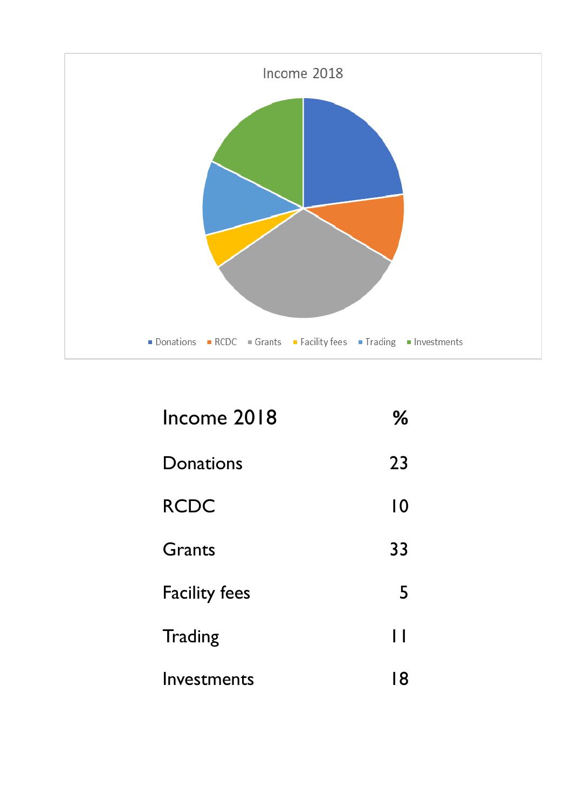

| Income 2018          | ℅              |
|----------------------|----------------|
| Donations            | 23             |
| <b>RCDC</b>          | $\overline{0}$ |
| Grants               | 33             |
| <b>Facility fees</b> | 5              |
| <b>Trading</b>       | П              |
| Investments          | 18             |